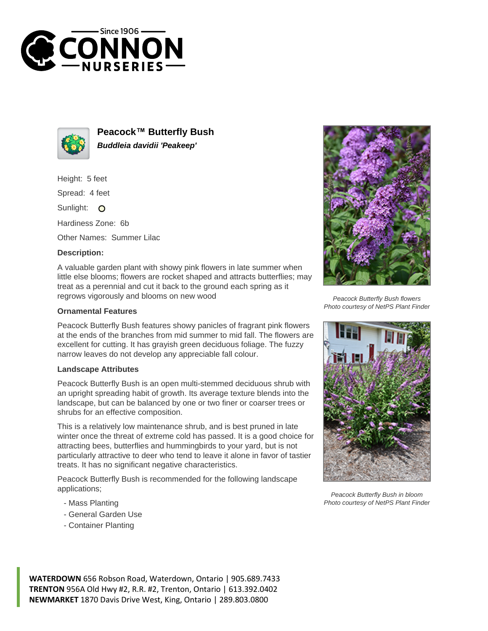



**Peacock™ Butterfly Bush Buddleia davidii 'Peakeep'**

Height: 5 feet

Spread: 4 feet

Sunlight: O

Hardiness Zone: 6b

Other Names: Summer Lilac

## **Description:**

A valuable garden plant with showy pink flowers in late summer when little else blooms; flowers are rocket shaped and attracts butterflies; may treat as a perennial and cut it back to the ground each spring as it regrows vigorously and blooms on new wood

## **Ornamental Features**

Peacock Butterfly Bush features showy panicles of fragrant pink flowers at the ends of the branches from mid summer to mid fall. The flowers are excellent for cutting. It has grayish green deciduous foliage. The fuzzy narrow leaves do not develop any appreciable fall colour.

## **Landscape Attributes**

Peacock Butterfly Bush is an open multi-stemmed deciduous shrub with an upright spreading habit of growth. Its average texture blends into the landscape, but can be balanced by one or two finer or coarser trees or shrubs for an effective composition.

This is a relatively low maintenance shrub, and is best pruned in late winter once the threat of extreme cold has passed. It is a good choice for attracting bees, butterflies and hummingbirds to your yard, but is not particularly attractive to deer who tend to leave it alone in favor of tastier treats. It has no significant negative characteristics.

Peacock Butterfly Bush is recommended for the following landscape applications;

- Mass Planting
- General Garden Use
- Container Planting



Peacock Butterfly Bush flowers Photo courtesy of NetPS Plant Finder



Peacock Butterfly Bush in bloom Photo courtesy of NetPS Plant Finder

**WATERDOWN** 656 Robson Road, Waterdown, Ontario | 905.689.7433 **TRENTON** 956A Old Hwy #2, R.R. #2, Trenton, Ontario | 613.392.0402 **NEWMARKET** 1870 Davis Drive West, King, Ontario | 289.803.0800